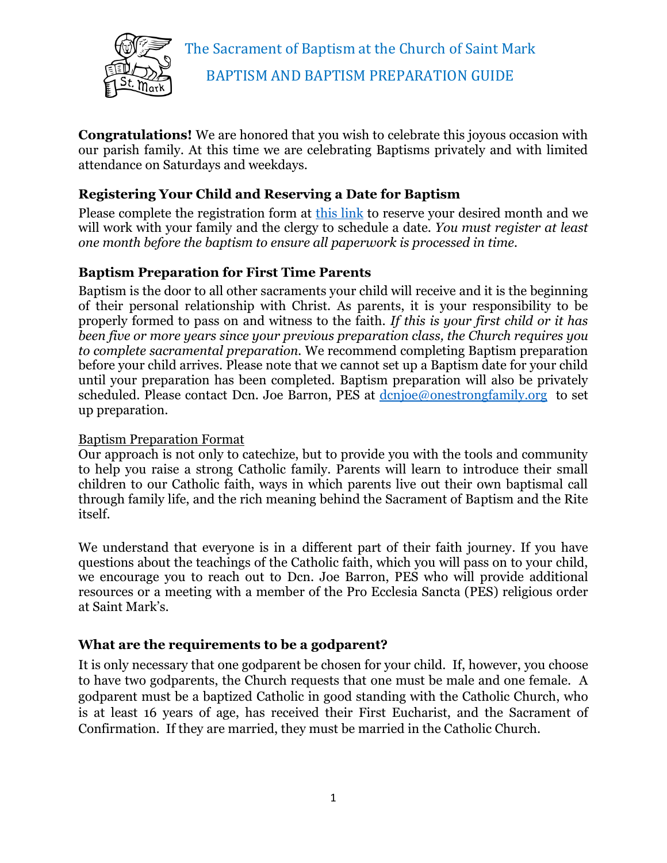

**Congratulations!** We are honored that you wish to celebrate this joyous occasion with our parish family. At this time we are celebrating Baptisms privately and with limited attendance on Saturdays and weekdays.

## **Registering Your Child and Reserving a Date for Baptism**

Please complete the registration form at [this link](https://forms.gle/uoB9M9Pxqja43LVF7) to reserve your desired month and we will work with your family and the clergy to schedule a date. *You must register at least one month before the baptism to ensure all paperwork is processed in time.*

## **Baptism Preparation for First Time Parents**

Baptism is the door to all other sacraments your child will receive and it is the beginning of their personal relationship with Christ. As parents, it is your responsibility to be properly formed to pass on and witness to the faith. *If this is your first child or it has been five or more years since your previous preparation class, the Church requires you to complete sacramental preparation.* We recommend completing Baptism preparation before your child arrives. Please note that we cannot set up a Baptism date for your child until your preparation has been completed. Baptism preparation will also be privately scheduled. Please contact Dcn. Joe Barron, PES at <u>denjoe@onestrongfamily.org</u> to set up preparation.

#### Baptism Preparation Format

Our approach is not only to catechize, but to provide you with the tools and community to help you raise a strong Catholic family. Parents will learn to introduce their small children to our Catholic faith, ways in which parents live out their own baptismal call through family life, and the rich meaning behind the Sacrament of Baptism and the Rite itself.

We understand that everyone is in a different part of their faith journey. If you have questions about the teachings of the Catholic faith, which you will pass on to your child, we encourage you to reach out to Dcn. Joe Barron, PES who will provide additional resources or a meeting with a member of the Pro Ecclesia Sancta (PES) religious order at Saint Mark's.

#### **What are the requirements to be a godparent?**

It is only necessary that one godparent be chosen for your child. If, however, you choose to have two godparents, the Church requests that one must be male and one female. A godparent must be a baptized Catholic in good standing with the Catholic Church, who is at least 16 years of age, has received their First Eucharist, and the Sacrament of Confirmation. If they are married, they must be married in the Catholic Church.